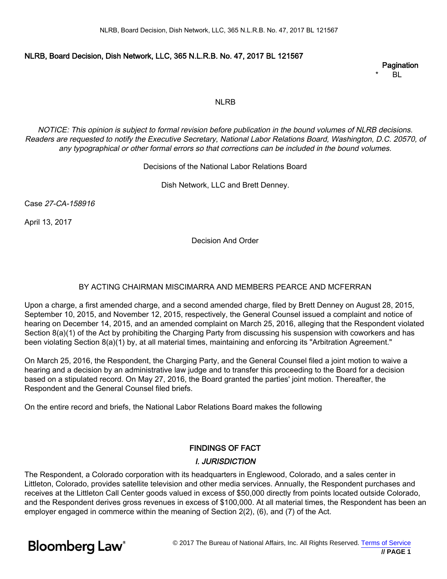#### NLRB, Board Decision, Dish Network, LLC, 365 N.L.R.B. No. 47, 2017 BL 121567

#### **Pagination**

 $B<sub>L</sub>$ 

#### NLRB

NOTICE: This opinion is subject to formal revision before publication in the bound volumes of NLRB decisions. Readers are requested to notify the Executive Secretary, National Labor Relations Board, Washington, D.C. 20570, of any typographical or other formal errors so that corrections can be included in the bound volumes.

#### Decisions of the National Labor Relations Board

Dish Network, LLC and Brett Denney.

Case 27-CA-158916

April 13, 2017

Decision And Order

#### BY ACTING CHAIRMAN MISCIMARRA AND MEMBERS PEARCE AND MCFERRAN

Upon a charge, a first amended charge, and a second amended charge, filed by Brett Denney on August 28, 2015, September 10, 2015, and November 12, 2015, respectively, the General Counsel issued a complaint and notice of hearing on December 14, 2015, and an amended complaint on March 25, 2016, alleging that the Respondent violated Section 8(a)(1) of the Act by prohibiting the Charging Party from discussing his suspension with coworkers and has been violating Section 8(a)(1) by, at all material times, maintaining and enforcing its "Arbitration Agreement."

On March 25, 2016, the Respondent, the Charging Party, and the General Counsel filed a joint motion to waive a hearing and a decision by an administrative law judge and to transfer this proceeding to the Board for a decision based on a stipulated record. On May 27, 2016, the Board granted the parties' joint motion. Thereafter, the Respondent and the General Counsel filed briefs.

On the entire record and briefs, the National Labor Relations Board makes the following

# FINDINGS OF FACT

# I. JURISDICTION

The Respondent, a Colorado corporation with its headquarters in Englewood, Colorado, and a sales center in Littleton, Colorado, provides satellite television and other media services. Annually, the Respondent purchases and receives at the Littleton Call Center goods valued in excess of \$50,000 directly from points located outside Colorado, and the Respondent derives gross revenues in excess of \$100,000. At all material times, the Respondent has been an employer engaged in commerce within the meaning of Section 2(2), (6), and (7) of the Act.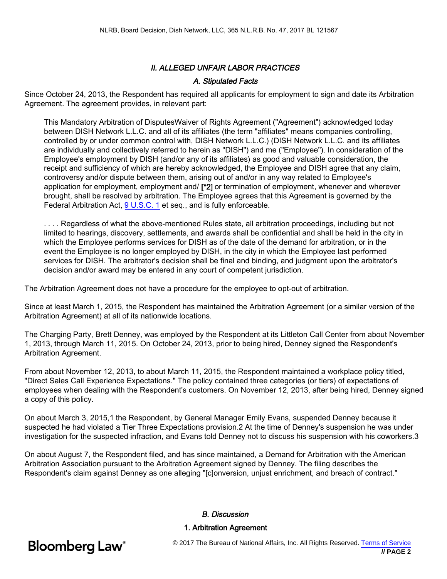# II. ALLEGED UNFAIR LABOR PRACTICES

### A. Stipulated Facts

Since October 24, 2013, the Respondent has required all applicants for employment to sign and date its Arbitration Agreement. The agreement provides, in relevant part:

This Mandatory Arbitration of DisputesWaiver of Rights Agreement ("Agreement") acknowledged today between DISH Network L.L.C. and all of its affiliates (the term "affiliates" means companies controlling, controlled by or under common control with, DISH Network L.L.C.) (DISH Network L.L.C. and its affiliates are individually and collectively referred to herein as "DISH") and me ("Employee"). In consideration of the Employee's employment by DISH (and/or any of its affiliates) as good and valuable consideration, the receipt and sufficiency of which are hereby acknowledged, the Employee and DISH agree that any claim, controversy and/or dispute between them, arising out of and/or in any way related to Employee's application for employment, employment and/ [\*2] or termination of employment, whenever and wherever brought, shall be resolved by arbitration. The Employee agrees that this Agreement is governed by the Federal Arbitration Act, [9 U.S.C. 1](https://www.bloomberglaw.com//document/XEH1F2003?jcsearch=9 usc 1&summary=yes#jcite) et seq., and is fully enforceable.

. . . . Regardless of what the above-mentioned Rules state, all arbitration proceedings, including but not limited to hearings, discovery, settlements, and awards shall be confidential and shall be held in the city in which the Employee performs services for DISH as of the date of the demand for arbitration, or in the event the Employee is no longer employed by DISH, in the city in which the Employee last performed services for DISH. The arbitrator's decision shall be final and binding, and judgment upon the arbitrator's decision and/or award may be entered in any court of competent jurisdiction.

The Arbitration Agreement does not have a procedure for the employee to opt-out of arbitration.

Since at least March 1, 2015, the Respondent has maintained the Arbitration Agreement (or a similar version of the Arbitration Agreement) at all of its nationwide locations.

The Charging Party, Brett Denney, was employed by the Respondent at its Littleton Call Center from about November 1, 2013, through March 11, 2015. On October 24, 2013, prior to being hired, Denney signed the Respondent's Arbitration Agreement.

From about November 12, 2013, to about March 11, 2015, the Respondent maintained a workplace policy titled, "Direct Sales Call Experience Expectations." The policy contained three categories (or tiers) of expectations of employees when dealing with the Respondent's customers. On November 12, 2013, after being hired, Denney signed a copy of this policy.

On about March 3, 2015,1 the Respondent, by General Manager Emily Evans, suspended Denney because it suspected he had violated a Tier Three Expectations provision.2 At the time of Denney's suspension he was under investigation for the suspected infraction, and Evans told Denney not to discuss his suspension with his coworkers.3

On about August 7, the Respondent filed, and has since maintained, a Demand for Arbitration with the American Arbitration Association pursuant to the Arbitration Agreement signed by Denney. The filing describes the Respondent's claim against Denney as one alleging "[c]onversion, unjust enrichment, and breach of contract."

#### B. Discussion

#### 1. Arbitration Agreement

**Bloomberg Law**<sup>®</sup>

© 2017 The Bureau of National Affairs, Inc. All Rights Reserved. [Terms of Service](http://www.bna.com/terms-of-service-subscription-products)  **// PAGE 2**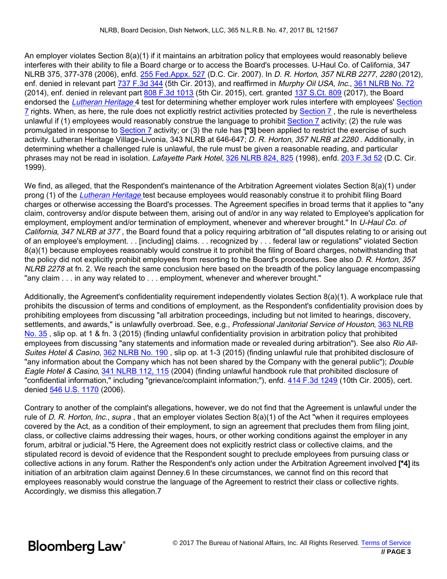An employer violates Section 8(a)(1) if it maintains an arbitration policy that employees would reasonably believe interferes with their ability to file a Board charge or to access the Board's processes. U-Haul Co. of California, 347 NLRB 375, 377-378 (2006), enfd. [255 Fed.Appx. 527](https://www.bloomberglaw.com//document/1?citation=255 Fed.Appx. 527&summary=yes#jcite) (D.C. Cir. 2007). In D. R. Horton, 357 NLRB 2277, 2280 (2012), enf. denied in relevant part [737 F.3d 344](https://www.bloomberglaw.com//document/X1IA96DL0000N?jcsearch=737 F.3d 344&summary=yes#jcite) (5th Cir. 2013), and reaffirmed in Murphy Oil USA, Inc., [361 NLRB No. 72](https://www.bloomberglaw.com//document/XAITQ97?jcsearch=361 NLRB No. 72&summary=yes#jcite) (2014), enf. denied in relevant part [808 F.3d 1013](https://www.bloomberglaw.com//document/X1RMD98E0000N?jcsearch=808 F.3d 1013&summary=yes#jcite) (5th Cir. 2015), cert. granted [137 S.Ct. 809](https://www.bloomberglaw.com//document/1?citation=137 S.Ct. 809&summary=yes#jcite) (2017), the Board endorsed the *[Lutheran Heritage](https://www.bloomberglaw.com//document/1?citation=343 NLRB 646&summary=yes#jcite)* 4 test for determining whether employer work rules interfere with employees' [Section](https://www.bloomberglaw.com//document/X2OS9BGS000000?jcsearch=Section 7&summary=yes#jcite) [7](https://www.bloomberglaw.com//document/X2OS9BGS000000?jcsearch=Section 7&summary=yes#jcite) rights. When, as here, the rule does not explicitly restrict activities protected by [Section 7](https://www.bloomberglaw.com//document/X2OS9BGS000000?jcsearch=Section 7&summary=yes#jcite) , the rule is nevertheless unlawful if (1) employees would reasonably construe the language to prohibit [Section 7](https://www.bloomberglaw.com//document/X2OS9BGS000000?jcsearch=Section 7&summary=yes#jcite) activity; (2) the rule was promulgated in response to [Section 7](https://www.bloomberglaw.com//document/X2OS9BGS000000?jcsearch=Section 7&summary=yes#jcite) activity; or (3) the rule has [\*3] been applied to restrict the exercise of such activity. Lutheran Heritage Village-Livonia, 343 NLRB at 646-647; D. R. Horton, 357 NLRB at 2280. Additionally, in determining whether a challenged rule is unlawful, the rule must be given a reasonable reading, and particular phrases may not be read in isolation. Lafayette Park Hotel, [326 NLRB 824, 825](https://www.bloomberglaw.com//document/XFIV1JQNB5G0?jcsearch=326 NLRB 824, 825&summary=yes#jcite) (1998), enfd. [203 F.3d 52](https://www.bloomberglaw.com//document/1?citation=203 F.3d 52&summary=yes#jcite) (D.C. Cir. 1999).

We find, as alleged, that the Respondent's maintenance of the Arbitration Agreement violates Section 8(a)(1) under prong (1) of the [Lutheran Heritage](https://www.bloomberglaw.com//document/1?citation=343 NLRB 646&summary=yes#jcite) test because employees would reasonably construe it to prohibit filing Board charges or otherwise accessing the Board's processes. The Agreement specifies in broad terms that it applies to "any claim, controversy and/or dispute between them, arising out of and/or in any way related to Employee's application for employment, employment and/or termination of employment, whenever and wherever brought." In U-Haul Co. of California, 347 NLRB at 377, the Board found that a policy requiring arbitration of "all disputes relating to or arising out of an employee's employment. . . [including] claims. . . recognized by . . . federal law or regulations" violated Section 8(a)(1) because employees reasonably would construe it to prohibit the filing of Board charges, notwithstanding that the policy did not explicitly prohibit employees from resorting to the Board's procedures. See also D. R. Horton, 357 NLRB 2278 at fn. 2. We reach the same conclusion here based on the breadth of the policy language encompassing "any claim . . . in any way related to . . . employment, whenever and wherever brought."

Additionally, the Agreement's confidentiality requirement independently violates Section 8(a)(1). A workplace rule that prohibits the discussion of terms and conditions of employment, as the Respondent's confidentiality provision does by prohibiting employees from discussing "all arbitration proceedings, including but not limited to hearings, discovery, settlements, and awards," is unlawfully overbroad. See, e.g., Professional Janitorial Service of Houston, [363 NLRB](https://www.bloomberglaw.com//document/X7OC651C?jcsearch=363 NLRB No. 35&summary=yes#jcite) [No. 35](https://www.bloomberglaw.com//document/X7OC651C?jcsearch=363 NLRB No. 35&summary=yes#jcite) , slip op. at 1 & fn. 3 (2015) (finding unlawful confidentiality provision in arbitration policy that prohibited employees from discussing "any statements and information made or revealed during arbitration"). See also Rio All-Suites Hotel & Casino, [362 NLRB No. 190](https://www.bloomberglaw.com//document/X4S302HC?jcsearch=362 NLRB No. 190&summary=yes#jcite), slip op. at 1-3 (2015) (finding unlawful rule that prohibited disclosure of "any information about the Company which has not been shared by the Company with the general public"); Double Eagle Hotel & Casino, [341 NLRB 112, 115](https://www.bloomberglaw.com//document/X19EEFQNB5G0?jcsearch=341 NLRB 112, 115&summary=yes#jcite) (2004) (finding unlawful handbook rule that prohibited disclosure of "confidential information," including "grievance/complaint information;"), enfd. [414 F.3d 1249](https://www.bloomberglaw.com//document/X12I0TE003?jcsearch=414 F.3d 1249&summary=yes#jcite) (10th Cir. 2005), cert. denied [546 U.S. 1170](https://www.bloomberglaw.com//document/1?citation=546 U.S. 1170&summary=yes#jcite) (2006).

Contrary to another of the complaint's allegations, however, we do not find that the Agreement is unlawful under the rule of D. R. Horton, Inc., supra, that an employer violates Section 8(a)(1) of the Act "when it requires employees covered by the Act, as a condition of their employment, to sign an agreement that precludes them from filing joint, class, or collective claims addressing their wages, hours, or other working conditions against the employer in any forum, arbitral or judicial."5 Here, the Agreement does not explicitly restrict class or collective claims, and the stipulated record is devoid of evidence that the Respondent sought to preclude employees from pursuing class or collective actions in any forum. Rather the Respondent's only action under the Arbitration Agreement involved [\*4] its initiation of an arbitration claim against Denney.6 In these circumstances, we cannot find on this record that employees reasonably would construe the language of the Agreement to restrict their class or collective rights. Accordingly, we dismiss this allegation.7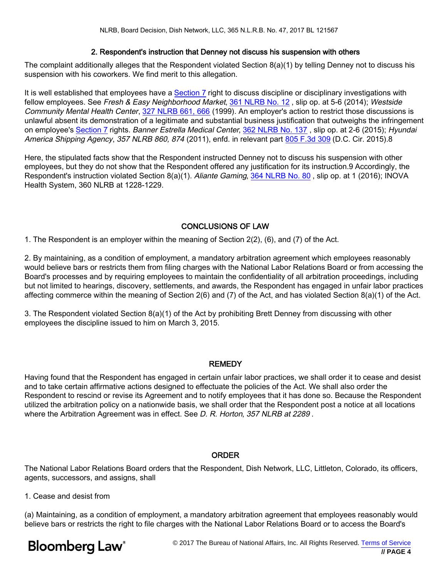### 2. Respondent's instruction that Denney not discuss his suspension with others

The complaint additionally alleges that the Respondent violated Section 8(a)(1) by telling Denney not to discuss his suspension with his coworkers. We find merit to this allegation.

It is well established that employees have a [Section 7](https://www.bloomberglaw.com//document/X2OS9BGS000000?jcsearch=Section 7&summary=yes#jcite) right to discuss discipline or disciplinary investigations with fellow employees. See Fresh & Easy Neighborhood Market, [361 NLRB No. 12](https://www.bloomberglaw.com//document/XAAAOP7?jcsearch=361 NLRB No. 12&summary=yes#jcite) , slip op. at 5-6 (2014); Westside Community Mental Health Center, [327 NLRB 661, 666](https://www.bloomberglaw.com//document/X2NV6JQNB5G0?jcsearch=327 NLRB 661, 666&summary=yes#jcite) (1999). An employer's action to restrict those discussions is unlawful absent its demonstration of a legitimate and substantial business justification that outweighs the infringement on employee's [Section 7](https://www.bloomberglaw.com//document/X2OS9BGS000000?jcsearch=Section 7&summary=yes#jcite) rights. Banner Estrella Medical Center, [362 NLRB No. 137](https://www.bloomberglaw.com//document/X22QJ51C?jcsearch=362 NLRB No. 137&summary=yes#jcite) , slip op. at 2-6 (2015); Hyundai America Shipping Agency, 357 NLRB 860, 874 (2011), enfd. in relevant part [805 F.3d 309](https://www.bloomberglaw.com//document/X1T9VL3H0000N?jcsearch=805 F.3d 309&summary=yes#jcite) (D.C. Cir. 2015).8

Here, the stipulated facts show that the Respondent instructed Denney not to discuss his suspension with other employees, but they do not show that the Respondent offered any justification for its instruction.9 Accordingly, the Respondent's instruction violated Section 8(a)(1). Aliante Gaming, [364 NLRB No. 80](https://www.bloomberglaw.com//document/XA3UCT1C?jcsearch=364 NLRB No. 80&summary=yes#jcite), slip op. at 1 (2016); INOVA Health System, 360 NLRB at 1228-1229.

# CONCLUSIONS OF LAW

1. The Respondent is an employer within the meaning of Section 2(2), (6), and (7) of the Act.

2. By maintaining, as a condition of employment, a mandatory arbitration agreement which employees reasonably would believe bars or restricts them from filing charges with the National Labor Relations Board or from accessing the Board's processes and by requiring employees to maintain the confidentiality of all arbitration proceedings, including but not limited to hearings, discovery, settlements, and awards, the Respondent has engaged in unfair labor practices affecting commerce within the meaning of Section 2(6) and (7) of the Act, and has violated Section 8(a)(1) of the Act.

3. The Respondent violated Section 8(a)(1) of the Act by prohibiting Brett Denney from discussing with other employees the discipline issued to him on March 3, 2015.

# REMEDY

Having found that the Respondent has engaged in certain unfair labor practices, we shall order it to cease and desist and to take certain affirmative actions designed to effectuate the policies of the Act. We shall also order the Respondent to rescind or revise its Agreement and to notify employees that it has done so. Because the Respondent utilized the arbitration policy on a nationwide basis, we shall order that the Respondent post a notice at all locations where the Arbitration Agreement was in effect. See D. R. Horton, 357 NLRB at 2289.

# ORDER

The National Labor Relations Board orders that the Respondent, Dish Network, LLC, Littleton, Colorado, its officers, agents, successors, and assigns, shall

1. Cease and desist from

(a) Maintaining, as a condition of employment, a mandatory arbitration agreement that employees reasonably would believe bars or restricts the right to file charges with the National Labor Relations Board or to access the Board's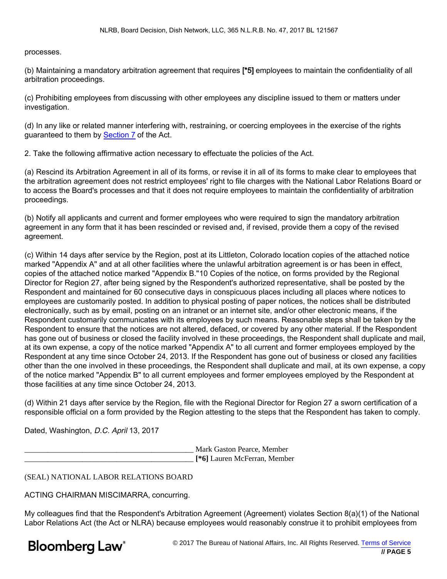processes.

(b) Maintaining a mandatory arbitration agreement that requires [\*5] employees to maintain the confidentiality of all arbitration proceedings.

(c) Prohibiting employees from discussing with other employees any discipline issued to them or matters under investigation.

(d) In any like or related manner interfering with, restraining, or coercing employees in the exercise of the rights guaranteed to them by [Section 7](https://www.bloomberglaw.com//document/X2OS9BGS000000?jcsearch=Section 7&summary=yes#jcite) of the Act.

2. Take the following affirmative action necessary to effectuate the policies of the Act.

(a) Rescind its Arbitration Agreement in all of its forms, or revise it in all of its forms to make clear to employees that the arbitration agreement does not restrict employees' right to file charges with the National Labor Relations Board or to access the Board's processes and that it does not require employees to maintain the confidentiality of arbitration proceedings.

(b) Notify all applicants and current and former employees who were required to sign the mandatory arbitration agreement in any form that it has been rescinded or revised and, if revised, provide them a copy of the revised agreement.

(c) Within 14 days after service by the Region, post at its Littleton, Colorado location copies of the attached notice marked "Appendix A" and at all other facilities where the unlawful arbitration agreement is or has been in effect, copies of the attached notice marked "Appendix B."10 Copies of the notice, on forms provided by the Regional Director for Region 27, after being signed by the Respondent's authorized representative, shall be posted by the Respondent and maintained for 60 consecutive days in conspicuous places including all places where notices to employees are customarily posted. In addition to physical posting of paper notices, the notices shall be distributed electronically, such as by email, posting on an intranet or an internet site, and/or other electronic means, if the Respondent customarily communicates with its employees by such means. Reasonable steps shall be taken by the Respondent to ensure that the notices are not altered, defaced, or covered by any other material. If the Respondent has gone out of business or closed the facility involved in these proceedings, the Respondent shall duplicate and mail, at its own expense, a copy of the notice marked "Appendix A" to all current and former employees employed by the Respondent at any time since October 24, 2013. If the Respondent has gone out of business or closed any facilities other than the one involved in these proceedings, the Respondent shall duplicate and mail, at its own expense, a copy of the notice marked "Appendix B" to all current employees and former employees employed by the Respondent at those facilities at any time since October 24, 2013.

(d) Within 21 days after service by the Region, file with the Regional Director for Region 27 a sworn certification of a responsible official on a form provided by the Region attesting to the steps that the Respondent has taken to comply.

Dated, Washington, D.C. April 13, 2017

\_\_\_\_\_\_\_\_\_\_\_\_\_\_\_\_\_\_\_\_\_\_\_\_\_\_\_\_\_\_\_\_\_\_\_\_\_\_\_\_\_\_\_\_ Mark Gaston Pearce, Member \_\_\_\_\_\_\_\_\_\_\_\_\_\_\_\_\_\_\_\_\_\_\_\_\_\_\_\_\_\_\_\_\_\_\_\_\_\_\_\_\_\_\_\_ **[\*6]** Lauren McFerran, Member

(SEAL) NATIONAL LABOR RELATIONS BOARD

ACTING CHAIRMAN MISCIMARRA, concurring.

My colleagues find that the Respondent's Arbitration Agreement (Agreement) violates Section 8(a)(1) of the National Labor Relations Act (the Act or NLRA) because employees would reasonably construe it to prohibit employees from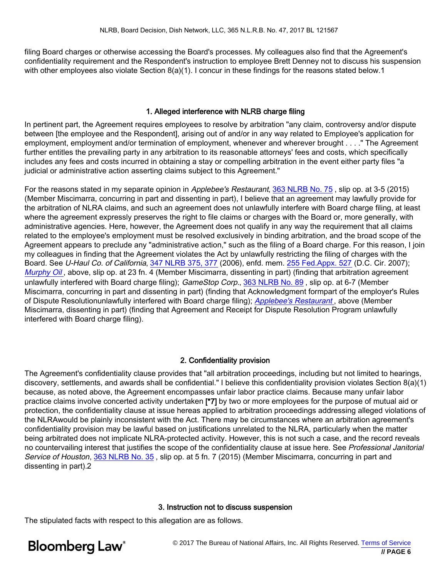filing Board charges or otherwise accessing the Board's processes. My colleagues also find that the Agreement's confidentiality requirement and the Respondent's instruction to employee Brett Denney not to discuss his suspension with other employees also violate Section 8(a)(1). I concur in these findings for the reasons stated below.1

#### 1. Alleged interference with NLRB charge filing

In pertinent part, the Agreement requires employees to resolve by arbitration "any claim, controversy and/or dispute between [the employee and the Respondent], arising out of and/or in any way related to Employee's application for employment, employment and/or termination of employment, whenever and wherever brought . . . ." The Agreement further entitles the prevailing party in any arbitration to its reasonable attorneys' fees and costs, which specifically includes any fees and costs incurred in obtaining a stay or compelling arbitration in the event either party files "a judicial or administrative action asserting claims subject to this Agreement."

For the reasons stated in my separate opinion in Applebee's Restaurant, [363 NLRB No. 75](https://www.bloomberglaw.com//document/X7TFOMPC?jcsearch=363 NLRB No. 75&summary=yes#jcite), slip op. at 3-5 (2015) (Member Miscimarra, concurring in part and dissenting in part), I believe that an agreement may lawfully provide for the arbitration of NLRA claims, and such an agreement does not unlawfully interfere with Board charge filing, at least where the agreement expressly preserves the right to file claims or charges with the Board or, more generally, with administrative agencies. Here, however, the Agreement does not qualify in any way the requirement that all claims related to the employee's employment must be resolved exclusively in binding arbitration, and the broad scope of the Agreement appears to preclude any "administrative action," such as the filing of a Board charge. For this reason, I join my colleagues in finding that the Agreement violates the Act by unlawfully restricting the filing of charges with the Board. See U-Haul Co. of California, [347 NLRB 375, 377](https://www.bloomberglaw.com//document/X162LFQNB5G0?jcsearch=347 NLRB 375, 377&summary=yes#jcite) (2006), enfd. mem. [255 Fed.Appx. 527](https://www.bloomberglaw.com//document/1?citation=255 Fed.Appx. 527&summary=yes#jcite) (D.C. Cir. 2007); [Murphy Oil](https://www.bloomberglaw.com//document/1?citation=361 NLRB No. 72&summary=yes#jcite), above, slip op. at 23 fn. 4 (Member Miscimarra, dissenting in part) (finding that arbitration agreement unlawfully interfered with Board charge filing); GameStop Corp., [363 NLRB No. 89](https://www.bloomberglaw.com//document/X7UQAFPC?jcsearch=363 NLRB No. 89&summary=yes#jcite), slip op. at 6-7 (Member Miscimarra, concurring in part and dissenting in part) (finding that Acknowledgment formpart of the employer's Rules of Dispute Resolutionunlawfully interfered with Board charge filing); [Applebee's Restaurant](https://www.bloomberglaw.com//document/1?citation=363 NLRB No. 75&summary=yes#jcite) , above (Member Miscimarra, dissenting in part) (finding that Agreement and Receipt for Dispute Resolution Program unlawfully interfered with Board charge filing).

# 2. Confidentiality provision

The Agreement's confidentiality clause provides that "all arbitration proceedings, including but not limited to hearings, discovery, settlements, and awards shall be confidential." I believe this confidentiality provision violates Section 8(a)(1) because, as noted above, the Agreement encompasses unfair labor practice claims. Because many unfair labor practice claims involve concerted activity undertaken [\*7] by two or more employees for the purpose of mutual aid or protection, the confidentiality clause at issue hereas applied to arbitration proceedings addressing alleged violations of the NLRAwould be plainly inconsistent with the Act. There may be circumstances where an arbitration agreement's confidentiality provision may be lawful based on justifications unrelated to the NLRA, particularly when the matter being arbitrated does not implicate NLRA-protected activity. However, this is not such a case, and the record reveals no countervailing interest that justifies the scope of the confidentiality clause at issue here. See Professional Janitorial Service of Houston, [363 NLRB No. 35](https://www.bloomberglaw.com//document/X7OC651C?jcsearch=363 NLRB No. 35&summary=yes#jcite), slip op. at 5 fn. 7 (2015) (Member Miscimarra, concurring in part and dissenting in part).2

#### 3. Instruction not to discuss suspension

The stipulated facts with respect to this allegation are as follows.

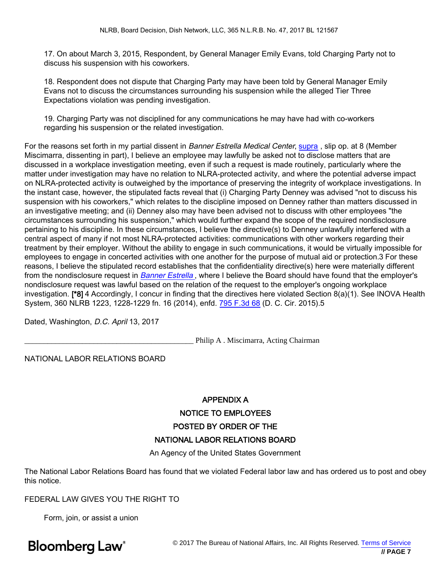17. On about March 3, 2015, Respondent, by General Manager Emily Evans, told Charging Party not to discuss his suspension with his coworkers.

18. Respondent does not dispute that Charging Party may have been told by General Manager Emily Evans not to discuss the circumstances surrounding his suspension while the alleged Tier Three Expectations violation was pending investigation.

19. Charging Party was not disciplined for any communications he may have had with co-workers regarding his suspension or the related investigation.

For the reasons set forth in my partial dissent in Banner Estrella Medical Center, [supra](https://www.bloomberglaw.com//document/1?citation=362 NLRB No. 137&summary=yes#jcite), slip op. at 8 (Member Miscimarra, dissenting in part), I believe an employee may lawfully be asked not to disclose matters that are discussed in a workplace investigation meeting, even if such a request is made routinely, particularly where the matter under investigation may have no relation to NLRA-protected activity, and where the potential adverse impact on NLRA-protected activity is outweighed by the importance of preserving the integrity of workplace investigations. In the instant case, however, the stipulated facts reveal that (i) Charging Party Denney was advised "not to discuss his suspension with his coworkers," which relates to the discipline imposed on Denney rather than matters discussed in an investigative meeting; and (ii) Denney also may have been advised not to discuss with other employees "the circumstances surrounding his suspension," which would further expand the scope of the required nondisclosure pertaining to his discipline. In these circumstances, I believe the directive(s) to Denney unlawfully interfered with a central aspect of many if not most NLRA-protected activities: communications with other workers regarding their treatment by their employer. Without the ability to engage in such communications, it would be virtually impossible for employees to engage in concerted activities with one another for the purpose of mutual aid or protection.3 For these reasons, I believe the stipulated record establishes that the confidentiality directive(s) here were materially different from the nondisclosure request in [Banner Estrella](https://www.bloomberglaw.com//document/1?citation=362 NLRB No. 137&summary=yes#jcite), where I believe the Board should have found that the employer's nondisclosure request was lawful based on the relation of the request to the employer's ongoing workplace investigation. [\*8] 4 Accordingly, I concur in finding that the directives here violated Section 8(a)(1). See INOVA Health System, 360 NLRB 1223, 1228-1229 fn. 16 (2014), enfd. [795 F.3d 68](https://www.bloomberglaw.com//document/X1MJPEIS0000N?jcsearch=795 F.3d 68&summary=yes#jcite) (D. C. Cir. 2015).5

Dated, Washington, D.C. April 13, 2017

\_\_\_\_\_\_\_\_\_\_\_\_\_\_\_\_\_\_\_\_\_\_\_\_\_\_\_\_\_\_\_\_\_\_\_\_\_\_\_\_\_\_\_\_ Philip A . Miscimarra, Acting Chairman

NATIONAL LABOR RELATIONS BOARD

# APPENDIX A NOTICE TO EMPLOYEES POSTED BY ORDER OF THE NATIONAL LABOR RELATIONS BOARD

An Agency of the United States Government

The National Labor Relations Board has found that we violated Federal labor law and has ordered us to post and obey this notice.

FEDERAL LAW GIVES YOU THE RIGHT TO

Form, join, or assist a union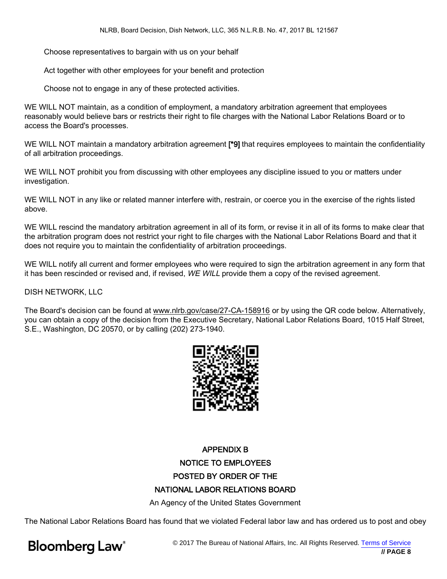Choose representatives to bargain with us on your behalf

Act together with other employees for your benefit and protection

Choose not to engage in any of these protected activities.

WE WILL NOT maintain, as a condition of employment, a mandatory arbitration agreement that employees reasonably would believe bars or restricts their right to file charges with the National Labor Relations Board or to access the Board's processes.

WE WILL NOT maintain a mandatory arbitration agreement [\*9] that requires employees to maintain the confidentiality of all arbitration proceedings.

WE WILL NOT prohibit you from discussing with other employees any discipline issued to you or matters under investigation.

WE WILL NOT in any like or related manner interfere with, restrain, or coerce you in the exercise of the rights listed above.

WE WILL rescind the mandatory arbitration agreement in all of its form, or revise it in all of its forms to make clear that the arbitration program does not restrict your right to file charges with the National Labor Relations Board and that it does not require you to maintain the confidentiality of arbitration proceedings.

WE WILL notify all current and former employees who were required to sign the arbitration agreement in any form that it has been rescinded or revised and, if revised, WE WILL provide them a copy of the revised agreement.

DISH NETWORK, LLC

The Board's decision can be found at www.nlrb.gov/case/27-CA-158916 or by using the QR code below. Alternatively, you can obtain a copy of the decision from the Executive Secretary, National Labor Relations Board, 1015 Half Street, S.E., Washington, DC 20570, or by calling (202) 273-1940.



# APPENDIX B NOTICE TO EMPLOYEES POSTED BY ORDER OF THE NATIONAL LABOR RELATIONS BOARD

An Agency of the United States Government

The National Labor Relations Board has found that we violated Federal labor law and has ordered us to post and obey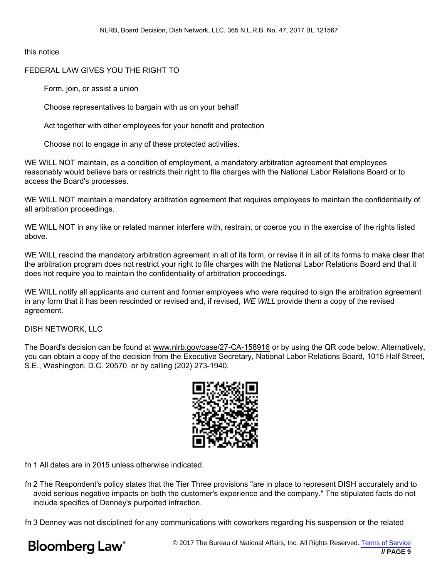this notice.

# FEDERAL LAW GIVES YOU THE RIGHT TO

Form, join, or assist a union

Choose representatives to bargain with us on your behalf

Act together with other employees for your benefit and protection

Choose not to engage in any of these protected activities.

WE WILL NOT maintain, as a condition of employment, a mandatory arbitration agreement that employees reasonably would believe bars or restricts their right to file charges with the National Labor Relations Board or to access the Board's processes.

WE WILL NOT maintain a mandatory arbitration agreement that requires employees to maintain the confidentiality of all arbitration proceedings.

WE WILL NOT in any like or related manner interfere with, restrain, or coerce you in the exercise of the rights listed above.

WE WILL rescind the mandatory arbitration agreement in all of its form, or revise it in all of its forms to make clear that the arbitration program does not restrict your right to file charges with the National Labor Relations Board and that it does not require you to maintain the confidentiality of arbitration proceedings.

WE WILL notify all applicants and current and former employees who were required to sign the arbitration agreement in any form that it has been rescinded or revised and, if revised, WE WILL provide them a copy of the revised agreement.

#### DISH NETWORK, LLC

The Board's decision can be found at www.nlrb.gov/case/27-CA-158916 or by using the QR code below. Alternatively, you can obtain a copy of the decision from the Executive Secretary, National Labor Relations Board, 1015 Half Street, S.E., Washington, D.C. 20570, or by calling (202) 273-1940.



fn 1 All dates are in 2015 unless otherwise indicated.

fn 2 The Respondent's policy states that the Tier Three provisions "are in place to represent DISH accurately and to avoid serious negative impacts on both the customer's experience and the company." The stipulated facts do not include specifics of Denney's purported infraction.

fn 3 Denney was not disciplined for any communications with coworkers regarding his suspension or the related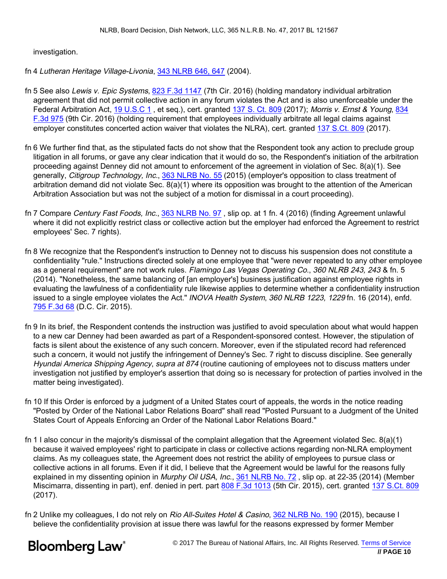investigation.

fn 4 Lutheran Heritage Village-Livonia, [343 NLRB 646, 647](https://www.bloomberglaw.com//document/X18RKFQNB5G0?jcsearch=343 NLRB 646, 647&summary=yes#jcite) (2004).

- fn 5 See also Lewis v. Epic Systems, [823 F.3d 1147](https://www.bloomberglaw.com//document/XLT54CN0000N?jcsearch=823 F.3d 1147&summary=yes#jcite) (7th Cir. 2016) (holding mandatory individual arbitration agreement that did not permit collective action in any forum violates the Act and is also unenforceable under the Federal Arbitration Act, [19 U.S.C 1](https://www.bloomberglaw.com//document/1?citation=19 usc 1&summary=yes#jcite), et seq.), cert. granted [137 S. Ct. 809](https://www.bloomberglaw.com//document/1?citation=137 S. Ct. 809&summary=yes#jcite) (2017); Morris v. Ernst & Young, [834](https://www.bloomberglaw.com//document/XDKDNC5G000N?jcsearch=834 F.3d 975&summary=yes#jcite) [F.3d 975](https://www.bloomberglaw.com//document/XDKDNC5G000N?jcsearch=834 F.3d 975&summary=yes#jcite) (9th Cir. 2016) (holding requirement that employees individually arbitrate all legal claims against employer constitutes concerted action waiver that violates the NLRA), cert. granted [137 S.Ct. 809](https://www.bloomberglaw.com//document/1?citation=137 S.Ct. 809&summary=yes#jcite) (2017).
- fn 6 We further find that, as the stipulated facts do not show that the Respondent took any action to preclude group litigation in all forums, or gave any clear indication that it would do so, the Respondent's initiation of the arbitration proceeding against Denney did not amount to enforcement of the agreement in violation of Sec. 8(a)(1). See generally, Citigroup Technology, Inc., [363 NLRB No. 55](https://www.bloomberglaw.com//document/X7PGLFPC?jcsearch=363 NLRB No. 55&summary=yes#jcite) (2015) (employer's opposition to class treatment of arbitration demand did not violate Sec. 8(a)(1) where its opposition was brought to the attention of the American Arbitration Association but was not the subject of a motion for dismissal in a court proceeding).
- fn 7 Compare Century Fast Foods, Inc., [363 NLRB No. 97](https://www.bloomberglaw.com//document/X82A261C?jcsearch=363 NLRB No. 97&summary=yes#jcite), slip op. at 1 fn. 4 (2016) (finding Agreement unlawful where it did not explicitly restrict class or collective action but the employer had enforced the Agreement to restrict employees' Sec. 7 rights).
- fn 8 We recognize that the Respondent's instruction to Denney not to discuss his suspension does not constitute a confidentiality "rule." Instructions directed solely at one employee that "were never repeated to any other employee as a general requirement" are not work rules. Flamingo Las Vegas Operating Co., 360 NLRB 243, 243 & fn. 5 (2014). "Nonetheless, the same balancing of [an employer's] business justification against employee rights in evaluating the lawfulness of a confidentiality rule likewise applies to determine whether a confidentiality instruction issued to a single employee violates the Act." INOVA Health System, 360 NLRB 1223, 1229 fn. 16 (2014), enfd. [795 F.3d 68](https://www.bloomberglaw.com//document/X1MJPEIS0000N?jcsearch=795 F.3d 68&summary=yes#jcite) (D.C. Cir. 2015).
- fn 9 In its brief, the Respondent contends the instruction was justified to avoid speculation about what would happen to a new car Denney had been awarded as part of a Respondent-sponsored contest. However, the stipulation of facts is silent about the existence of any such concern. Moreover, even if the stipulated record had referenced such a concern, it would not justify the infringement of Denney's Sec. 7 right to discuss discipline. See generally Hyundai America Shipping Agency, supra at 874 (routine cautioning of employees not to discuss matters under investigation not justified by employer's assertion that doing so is necessary for protection of parties involved in the matter being investigated).
- fn 10 If this Order is enforced by a judgment of a United States court of appeals, the words in the notice reading "Posted by Order of the National Labor Relations Board" shall read "Posted Pursuant to a Judgment of the United States Court of Appeals Enforcing an Order of the National Labor Relations Board."
- fn 1 I also concur in the majority's dismissal of the complaint allegation that the Agreement violated Sec. 8(a)(1) because it waived employees' right to participate in class or collective actions regarding non-NLRA employment claims. As my colleagues state, the Agreement does not restrict the ability of employees to pursue class or collective actions in all forums. Even if it did, I believe that the Agreement would be lawful for the reasons fully explained in my dissenting opinion in Murphy Oil USA, Inc., [361 NLRB No. 72](https://www.bloomberglaw.com//document/XAITQ97?jcsearch=361 NLRB No. 72&summary=yes#jcite), slip op. at 22-35 (2014) (Member Miscimarra, dissenting in part), enf. denied in pert. part [808 F.3d 1013](https://www.bloomberglaw.com//document/X1RMD98E0000N?jcsearch=808 F.3d 1013&summary=yes#jcite) (5th Cir. 2015), cert. granted [137 S.Ct. 809](https://www.bloomberglaw.com//document/1?citation=137 S.Ct. 809&summary=yes#jcite) (2017).
- fn 2 Unlike my colleagues, I do not rely on Rio All-Suites Hotel & Casino, [362 NLRB No. 190](https://www.bloomberglaw.com//document/X4S302HC?jcsearch=362 NLRB No. 190&summary=yes#jcite) (2015), because I believe the confidentiality provision at issue there was lawful for the reasons expressed by former Member